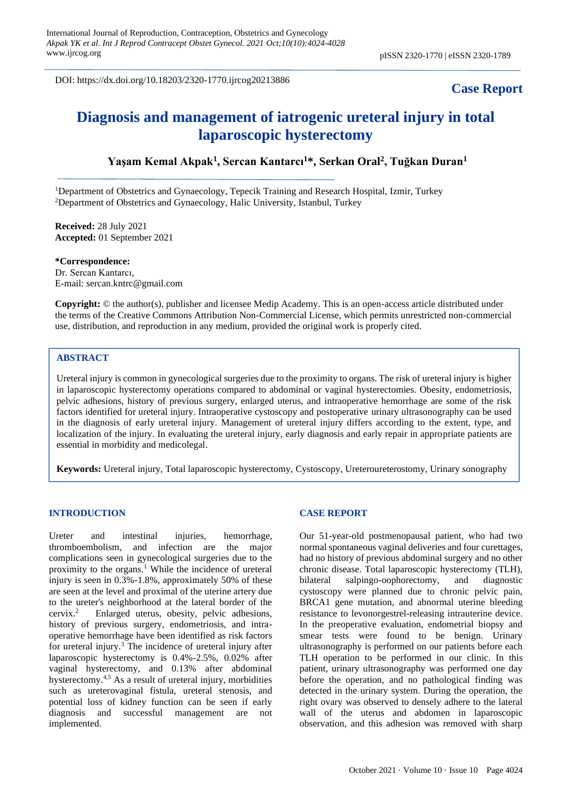DOI: https://dx.doi.org/10.18203/2320-1770.ijrcog20213886

# **Case Report**

# **Diagnosis and management of iatrogenic ureteral injury in total laparoscopic hysterectomy**

# **Yaşam Kemal Akpak<sup>1</sup> , Sercan Kantarcı<sup>1</sup>\*, Serkan Oral<sup>2</sup> , Tuğkan Duran<sup>1</sup>**

<sup>1</sup>Department of Obstetrics and Gynaecology, Tepecik Training and Research Hospital, Izmir, Turkey <sup>2</sup>Department of Obstetrics and Gynaecology, Halic University, Istanbul, Turkey

**Received:** 28 July 2021 **Accepted:** 01 September 2021

**\*Correspondence:** Dr. Sercan Kantarcı, E-mail: sercan.kntrc@gmail.com

**Copyright:** © the author(s), publisher and licensee Medip Academy. This is an open-access article distributed under the terms of the Creative Commons Attribution Non-Commercial License, which permits unrestricted non-commercial use, distribution, and reproduction in any medium, provided the original work is properly cited.

## **ABSTRACT**

Ureteral injury is common in gynecological surgeries due to the proximity to organs. The risk of ureteral injury is higher in laparoscopic hysterectomy operations compared to abdominal or vaginal hysterectomies. Obesity, endometriosis, pelvic adhesions, history of previous surgery, enlarged uterus, and intraoperative hemorrhage are some of the risk factors identified for ureteral injury. Intraoperative cystoscopy and postoperative urinary ultrasonography can be used in the diagnosis of early ureteral injury. Management of ureteral injury differs according to the extent, type, and localization of the injury. In evaluating the ureteral injury, early diagnosis and early repair in appropriate patients are essential in morbidity and medicolegal.

**Keywords:** Ureteral injury, Total laparoscopic hysterectomy, Cystoscopy, Ureteroureterostomy, Urinary sonography

#### **INTRODUCTION**

Ureter and intestinal injuries, hemorrhage, thromboembolism, and infection are the major complications seen in gynecological surgeries due to the proximity to the organs.<sup>1</sup> While the incidence of ureteral injury is seen in 0.3%-1.8%, approximately 50% of these are seen at the level and proximal of the uterine artery due to the ureter's neighborhood at the lateral border of the cervix.<sup>2</sup> Enlarged uterus, obesity, pelvic adhesions, history of previous surgery, endometriosis, and intraoperative hemorrhage have been identified as risk factors for ureteral injury.<sup>3</sup> The incidence of ureteral injury after laparoscopic hysterectomy is 0.4%-2.5%, 0.02% after vaginal hysterectomy, and 0.13% after abdominal hysterectomy.4,5 As a result of ureteral injury, morbidities such as ureterovaginal fistula, ureteral stenosis, and potential loss of kidney function can be seen if early diagnosis and successful management are not implemented.

## **CASE REPORT**

Our 51-year-old postmenopausal patient, who had two normal spontaneous vaginal deliveries and four curettages, had no history of previous abdominal surgery and no other chronic disease. Total laparoscopic hysterectomy (TLH), bilateral salpingo-oophorectomy, and diagnostic cystoscopy were planned due to chronic pelvic pain, BRCA1 gene mutation, and abnormal uterine bleeding resistance to levonorgestrel-releasing intrauterine device. In the preoperative evaluation, endometrial biopsy and smear tests were found to be benign. Urinary ultrasonography is performed on our patients before each TLH operation to be performed in our clinic. In this patient, urinary ultrasonography was performed one day before the operation, and no pathological finding was detected in the urinary system. During the operation, the right ovary was observed to densely adhere to the lateral wall of the uterus and abdomen in laparoscopic observation, and this adhesion was removed with sharp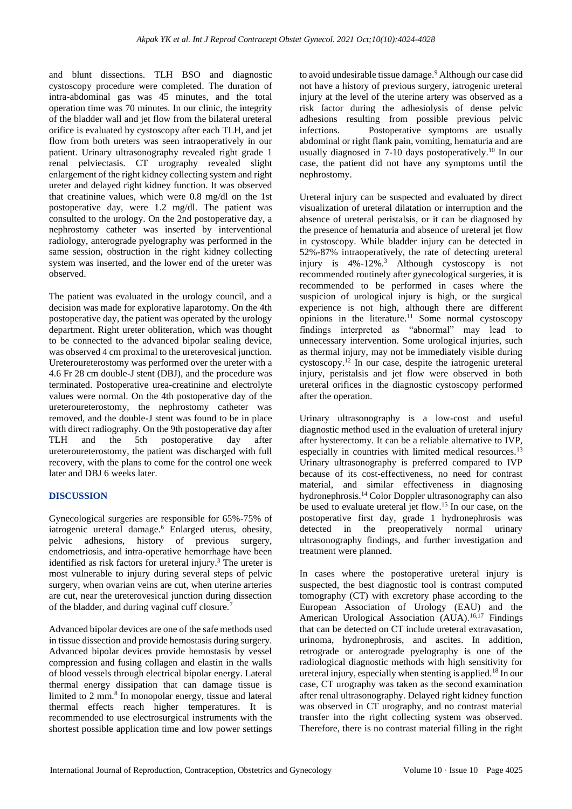and blunt dissections. TLH BSO and diagnostic cystoscopy procedure were completed. The duration of intra-abdominal gas was 45 minutes, and the total operation time was 70 minutes. In our clinic, the integrity of the bladder wall and jet flow from the bilateral ureteral orifice is evaluated by cystoscopy after each TLH, and jet flow from both ureters was seen intraoperatively in our patient. Urinary ultrasonography revealed right grade 1 renal pelviectasis. CT urography revealed slight enlargement of the right kidney collecting system and right ureter and delayed right kidney function. It was observed that creatinine values, which were 0.8 mg/dl on the 1st postoperative day, were 1.2 mg/dl. The patient was consulted to the urology. On the 2nd postoperative day, a nephrostomy catheter was inserted by interventional radiology, anterograde pyelography was performed in the same session, obstruction in the right kidney collecting system was inserted, and the lower end of the ureter was observed.

The patient was evaluated in the urology council, and a decision was made for explorative laparotomy. On the 4th postoperative day, the patient was operated by the urology department. Right ureter obliteration, which was thought to be connected to the advanced bipolar sealing device, was observed 4 cm proximal to the ureterovesical junction. Ureteroureterostomy was performed over the ureter with a 4.6 Fr 28 cm double-J stent (DBJ), and the procedure was terminated. Postoperative urea-creatinine and electrolyte values were normal. On the 4th postoperative day of the ureteroureterostomy, the nephrostomy catheter was removed, and the double-J stent was found to be in place with direct radiography. On the 9th postoperative day after TLH and the 5th postoperative day after ureteroureterostomy, the patient was discharged with full recovery, with the plans to come for the control one week later and DBJ 6 weeks later.

## **DISCUSSION**

Gynecological surgeries are responsible for 65%-75% of iatrogenic ureteral damage.<sup>6</sup> Enlarged uterus, obesity, pelvic adhesions, history of previous surgery, endometriosis, and intra-operative hemorrhage have been identified as risk factors for ureteral injury.<sup>3</sup> The ureter is most vulnerable to injury during several steps of pelvic surgery, when ovarian veins are cut, when uterine arteries are cut, near the ureterovesical junction during dissection of the bladder, and during vaginal cuff closure.<sup>7</sup>

Advanced bipolar devices are one of the safe methods used in tissue dissection and provide hemostasis during surgery. Advanced bipolar devices provide hemostasis by vessel compression and fusing collagen and elastin in the walls of blood vessels through electrical bipolar energy. Lateral thermal energy dissipation that can damage tissue is limited to 2 mm.<sup>8</sup> In monopolar energy, tissue and lateral thermal effects reach higher temperatures. It is recommended to use electrosurgical instruments with the shortest possible application time and low power settings to avoid undesirable tissue damage.<sup>9</sup> Although our case did not have a history of previous surgery, iatrogenic ureteral injury at the level of the uterine artery was observed as a risk factor during the adhesiolysis of dense pelvic adhesions resulting from possible previous pelvic infections. Postoperative symptoms are usually abdominal or right flank pain, vomiting, hematuria and are usually diagnosed in 7-10 days postoperatively.<sup>10</sup> In our case, the patient did not have any symptoms until the nephrostomy.

Ureteral injury can be suspected and evaluated by direct visualization of ureteral dilatation or interruption and the absence of ureteral peristalsis, or it can be diagnosed by the presence of hematuria and absence of ureteral jet flow in cystoscopy. While bladder injury can be detected in 52%-87% intraoperatively, the rate of detecting ureteral injury is 4%-12%.<sup>3</sup> Although cystoscopy is not recommended routinely after gynecological surgeries, it is recommended to be performed in cases where the suspicion of urological injury is high, or the surgical experience is not high, although there are different opinions in the literature.<sup>11</sup> Some normal cystoscopy findings interpreted as "abnormal" may lead to unnecessary intervention. Some urological injuries, such as thermal injury, may not be immediately visible during cystoscopy.<sup>12</sup> In our case, despite the iatrogenic ureteral injury, peristalsis and jet flow were observed in both ureteral orifices in the diagnostic cystoscopy performed after the operation.

Urinary ultrasonography is a low-cost and useful diagnostic method used in the evaluation of ureteral injury after hysterectomy. It can be a reliable alternative to IVP, especially in countries with limited medical resources.<sup>13</sup> Urinary ultrasonography is preferred compared to IVP because of its cost-effectiveness, no need for contrast material, and similar effectiveness in diagnosing hydronephrosis.<sup>14</sup> Color Doppler ultrasonography can also be used to evaluate ureteral jet flow. <sup>15</sup> In our case, on the postoperative first day, grade 1 hydronephrosis was detected in the preoperatively normal urinary ultrasonography findings, and further investigation and treatment were planned.

In cases where the postoperative ureteral injury is suspected, the best diagnostic tool is contrast computed tomography (CT) with excretory phase according to the European Association of Urology (EAU) and the American Urological Association (AUA).<sup>16,17</sup> Findings that can be detected on CT include ureteral extravasation, urinoma, hydronephrosis, and ascites. In addition, retrograde or anterograde pyelography is one of the radiological diagnostic methods with high sensitivity for ureteral injury, especially when stenting is applied.<sup>18</sup> In our case, CT urography was taken as the second examination after renal ultrasonography. Delayed right kidney function was observed in CT urography, and no contrast material transfer into the right collecting system was observed. Therefore, there is no contrast material filling in the right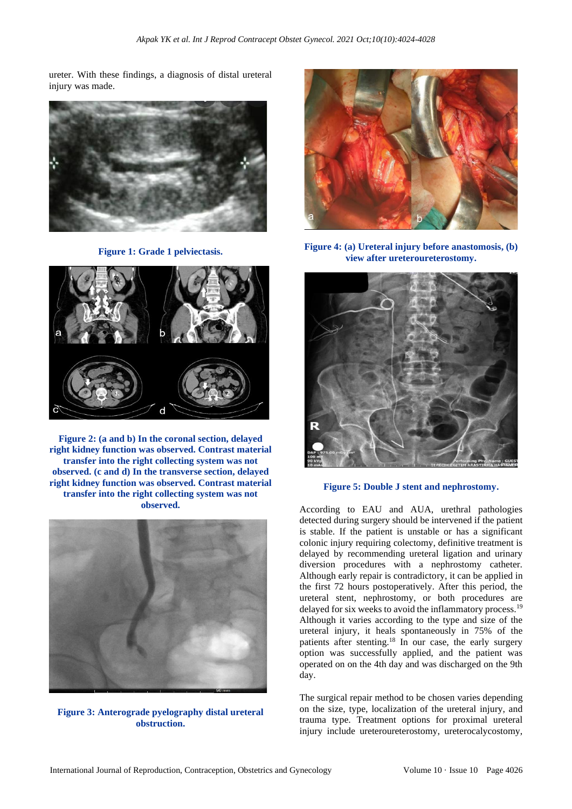ureter. With these findings, a diagnosis of distal ureteral injury was made.



**Figure 1: Grade 1 pelviectasis.**



**Figure 2: (a and b) In the coronal section, delayed right kidney function was observed. Contrast material transfer into the right collecting system was not observed. (c and d) In the transverse section, delayed right kidney function was observed. Contrast material transfer into the right collecting system was not observed.**



**Figure 3: Anterograde pyelography distal ureteral obstruction.**



**Figure 4: (a) Ureteral injury before anastomosis, (b) view after ureteroureterostomy.**



**Figure 5: Double J stent and nephrostomy.**

According to EAU and AUA, urethral pathologies detected during surgery should be intervened if the patient is stable. If the patient is unstable or has a significant colonic injury requiring colectomy, definitive treatment is delayed by recommending ureteral ligation and urinary diversion procedures with a nephrostomy catheter. Although early repair is contradictory, it can be applied in the first 72 hours postoperatively. After this period, the ureteral stent, nephrostomy, or both procedures are delayed for six weeks to avoid the inflammatory process.<sup>19</sup> Although it varies according to the type and size of the ureteral injury, it heals spontaneously in 75% of the patients after stenting.<sup>18</sup> In our case, the early surgery option was successfully applied, and the patient was operated on on the 4th day and was discharged on the 9th day.

The surgical repair method to be chosen varies depending on the size, type, localization of the ureteral injury, and trauma type. Treatment options for proximal ureteral injury include ureteroureterostomy, ureterocalycostomy,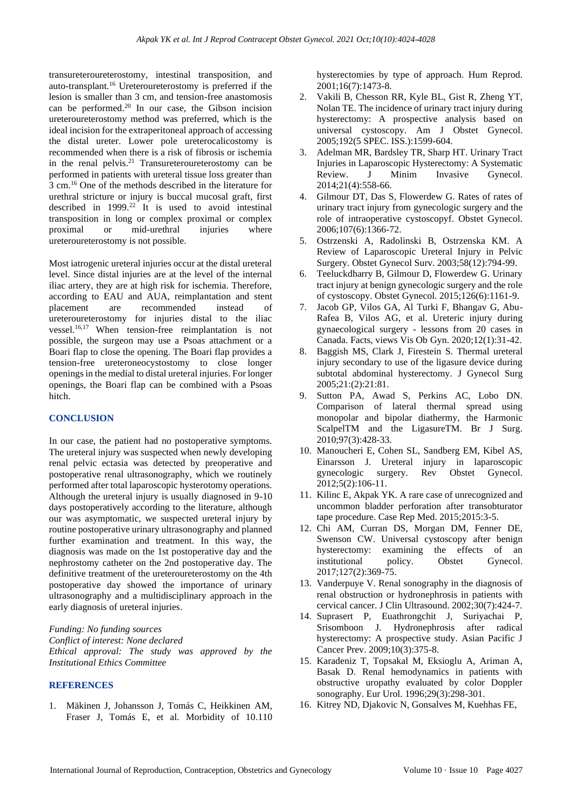transureteroureterostomy, intestinal transposition, and auto-transplant.<sup>16</sup> Ureteroureterostomy is preferred if the lesion is smaller than 3 cm, and tension-free anastomosis can be performed.<sup>20</sup> In our case, the Gibson incision ureteroureterostomy method was preferred, which is the ideal incision for the extraperitoneal approach of accessing the distal ureter. Lower pole ureterocalicostomy is recommended when there is a risk of fibrosis or ischemia in the renal pelvis. $21$  Transureteroureterostomy can be performed in patients with ureteral tissue loss greater than 3 cm.<sup>16</sup> One of the methods described in the literature for urethral stricture or injury is buccal mucosal graft, first described in  $1999.^{22}$  It is used to avoid intestinal transposition in long or complex proximal or complex proximal or mid-urethral injuries where ureteroureterostomy is not possible.

Most iatrogenic ureteral injuries occur at the distal ureteral level. Since distal injuries are at the level of the internal iliac artery, they are at high risk for ischemia. Therefore, according to EAU and AUA, reimplantation and stent placement are recommended instead of ureteroureterostomy for injuries distal to the iliac vessel.16,17 When tension-free reimplantation is not possible, the surgeon may use a Psoas attachment or a Boari flap to close the opening. The Boari flap provides a tension-free ureteroneocystostomy to close longer openings in the medial to distal ureteral injuries. For longer openings, the Boari flap can be combined with a Psoas hitch.

#### **CONCLUSION**

In our case, the patient had no postoperative symptoms. The ureteral injury was suspected when newly developing renal pelvic ectasia was detected by preoperative and postoperative renal ultrasonography, which we routinely performed after total laparoscopic hysterotomy operations. Although the ureteral injury is usually diagnosed in 9-10 days postoperatively according to the literature, although our was asymptomatic, we suspected ureteral injury by routine postoperative urinary ultrasonography and planned further examination and treatment. In this way, the diagnosis was made on the 1st postoperative day and the nephrostomy catheter on the 2nd postoperative day. The definitive treatment of the ureteroureterostomy on the 4th postoperative day showed the importance of urinary ultrasonography and a multidisciplinary approach in the early diagnosis of ureteral injuries.

*Funding: No funding sources Conflict of interest: None declared Ethical approval: The study was approved by the Institutional Ethics Committee*

#### **REFERENCES**

1. Mäkinen J, Johansson J, Tomás C, Heikkinen AM, Fraser J, Tomás E, et al. Morbidity of 10.110 hysterectomies by type of approach. Hum Reprod. 2001;16(7):1473-8.

- 2. Vakili B, Chesson RR, Kyle BL, Gist R, Zheng YT, Nolan TE. The incidence of urinary tract injury during hysterectomy: A prospective analysis based on universal cystoscopy. Am J Obstet Gynecol. 2005;192(5 SPEC. ISS.):1599-604.
- 3. Adelman MR, Bardsley TR, Sharp HT. Urinary Tract Injuries in Laparoscopic Hysterectomy: A Systematic Review. J Minim Invasive Gynecol. 2014;21(4):558-66.
- 4. Gilmour DT, Das S, Flowerdew G. Rates of rates of urinary tract injury from gynecologic surgery and the role of intraoperative cystoscopyf. Obstet Gynecol. 2006;107(6):1366-72.
- 5. Ostrzenski A, Radolinski B, Ostrzenska KM. A Review of Laparoscopic Ureteral Injury in Pelvic Surgery. Obstet Gynecol Surv. 2003;58(12):794-99.
- 6. Teeluckdharry B, Gilmour D, Flowerdew G. Urinary tract injury at benign gynecologic surgery and the role of cystoscopy. Obstet Gynecol. 2015;126(6):1161-9.
- 7. Jacob GP, Vilos GA, Al Turki F, Bhangav G, Abu-Rafea B, Vilos AG, et al. Ureteric injury during gynaecological surgery - lessons from 20 cases in Canada. Facts, views Vis Ob Gyn. 2020;12(1):31-42.
- 8. Baggish MS, Clark J, Firestein S. Thermal ureteral injury secondary to use of the ligasure device during subtotal abdominal hysterectomy. J Gynecol Surg 2005;21:(2):21:81.
- 9. Sutton PA, Awad S, Perkins AC, Lobo DN. Comparison of lateral thermal spread using monopolar and bipolar diathermy, the Harmonic ScalpelTM and the LigasureTM. Br J Surg. 2010;97(3):428-33.
- 10. Manoucheri E, Cohen SL, Sandberg EM, Kibel AS, Einarsson J. Ureteral injury in laparoscopic gynecologic surgery. Rev Obstet Gynecol. 2012;5(2):106-11.
- 11. Kilinc E, Akpak YK. A rare case of unrecognized and uncommon bladder perforation after transobturator tape procedure. Case Rep Med. 2015;2015:3-5.
- 12. Chi AM, Curran DS, Morgan DM, Fenner DE, Swenson CW. Universal cystoscopy after benign hysterectomy: examining the effects of an institutional policy. Obstet Gynecol. 2017;127(2):369-75.
- 13. Vanderpuye V. Renal sonography in the diagnosis of renal obstruction or hydronephrosis in patients with cervical cancer. J Clin Ultrasound. 2002;30(7):424-7.
- 14. Suprasert P, Euathrongchit J, Suriyachai P, Srisomboon J. Hydronephrosis after radical hysterectomy: A prospective study. Asian Pacific J Cancer Prev. 2009;10(3):375-8.
- 15. Karadeniz T, Topsakal M, Eksioglu A, Ariman A, Basak D. Renal hemodynamics in patients with obstructive uropathy evaluated by color Doppler sonography. Eur Urol. 1996;29(3):298-301.
- 16. Kitrey ND, Djakovic N, Gonsalves M, Kuehhas FE,